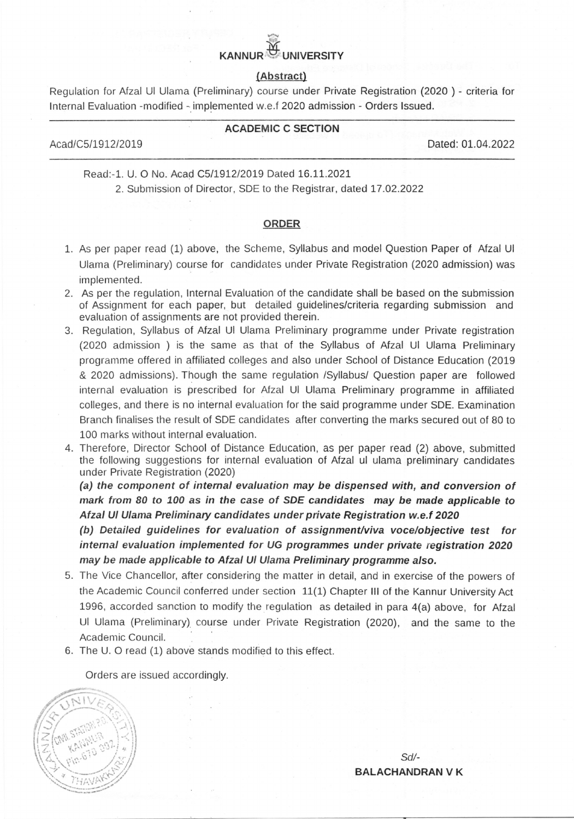# Y} KANNUR $\mathcal{F}$

#### (Abstract)

Regulation for Afzal Ul Ulama (Preliminary) course under Private Registration (2020 ) - criteria for lnternal Evaluation -modified - implemented w.e.f 2020 admission - Orders lssued.

#### ACADEMIC C SECTION

Acad/C5/1912120L9 Dated: 0L.04.2022

Read:-1. U. O No. Acad C5/1912/2019 Dated 16.11.2021

2. Submission of Director, SDE to the Registrar, dated 17.02.2022

#### ORDER

- 1. As per paper read (1) above, the Scheme, Syllahus and model Question Paper of Afzal Ul Ulama (Preliminary) course for candidates under Private Registration (2020 admission) was implemented.
- 2. As per the regulation, lnternal Evaluation of the candidate shall be based on the submission of Assignment for each paper, but detailed guidelines/criteria regarding submission and evaluation of assignments are not provided therein.
- 3. Regulation, Syllabus of Afzal Ul Ulama Preliminary programme under Private registration (2020 admission ) is the same as that of the Syllabus of Afzal Ul Ulama Preliminary progranrme offered in affiliated colleges and also under School of Distance Education (2019 & 2020 admissions). Though the same regulation /Syllabus/ Question paper are followed internal evaluation is prescribed for Afzal Ul Ulama Preliminary programme in affiliated colleges, and there is no internal evaluation for the said programme under SDE. Examination Branch finalises the result of SDE candidates after converting the marks secured out of B0 to 100 marks without internal evaluation.
- 4. Therefore, Director School of Distance Education, as per paper read (2) above, submitted the following suggestions for internal evaluation of Afzal ul ulama preliminary candidates under Private Registration (2020)

(a) the component of internal evaluation may be dispensed with, and conversion of mark from 80 to 100 as in the case of SDE candidates may be made applicable to Afzal Ul Ulama Preliminary candidates under private Registration w.e.f 2020

(b) Detailed guidelines for evaluation of assignment/viva vocelobjective test for internal evaluation implemented for UG programmes under private registration 2020 may be made applicable to Afzal Ul Ulama Preliminary programme also.

- 5. The Vice Chancellor, after considering the matter in detail, and in exercise of the powers of the Academic Council conferred under section  $11(1)$  Chapter III of the Kannur University Act 1996, accorded sanction to modify the regulation as detailed in para 4(a) above, for Afzal Ul Ulama (Preliminary) course under Private Registration (2020), and the same to the Academic Council.
- 6. The U. O read (1) above stands modified to this effect.

Orders are issued accordingly



sd/- BALACHANDRAN V K